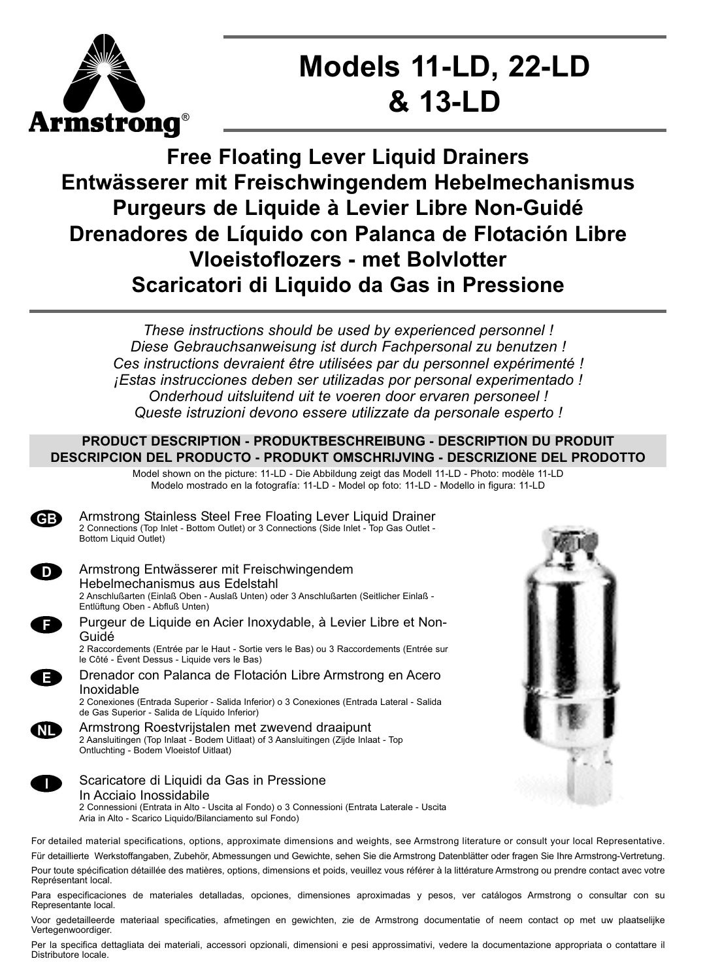

# **Models 11-LD, 22-LD & 13-LD**

# **Free Floating Lever Liquid Drainers Entwässerer mit Freischwingendem Hebelmechanismus Purgeurs de Liquide à Levier Libre Non-Guidé Drenadores de Líquido con Palanca de Flotación Libre Vloeistoflozers - met Bolvlotter Scaricatori di Liquido da Gas in Pressione**

*These instructions should be used by experienced personnel ! Diese Gebrauchsanweisung ist durch Fachpersonal zu benutzen ! Ces instructions devraient être utilisées par du personnel expérimenté ! ¡Estas instrucciones deben ser utilizadas por personal experimentado ! Onderhoud uitsluitend uit te voeren door ervaren personeel ! Queste istruzioni devono essere utilizzate da personale esperto !*

## **PRODUCT DESCRIPTION - PRODUKTBESCHREIBUNG - DESCRIPTION DU PRODUIT DESCRIPCION DEL PRODUCTO - PRODUKT OMSCHRIJVING - DESCRIZIONE DEL PRODOTTO**

Model shown on the picture: 11-LD - Die Abbildung zeigt das Modell 11-LD - Photo: modèle 11-LD Modelo mostrado en la fotografía: 11-LD - Model op foto: 11-LD - Modello in figura: 11-LD



Armstrong Stainless Steel Free Floating Lever Liquid Drainer 2 Connections (Top Inlet - Bottom Outlet) or 3 Connections (Side Inlet - Top Gas Outlet - Bottom Liquid Outlet)



Е

NL

Armstrong Entwässerer mit Freischwingendem Hebelmechanismus aus Edelstahl 2 Anschlußarten (Einlaß Oben - Auslaß Unten) oder 3 Anschlußarten (Seitlicher Einlaß -



Purgeur de Liquide en Acier Inoxydable, à Levier Libre et Non-Guidé

2 Raccordements (Entrée par le Haut - Sortie vers le Bas) ou 3 Raccordements (Entrée sur le Côté - Évent Dessus - Liquide vers le Bas)



2 Conexiones (Entrada Superior - Salida Inferior) o 3 Conexiones (Entrada Lateral - Salida de Gas Superior - Salida de Líquido Inferior)

Armstrong Roestvrijstalen met zwevend draaipunt 2 Aansluitingen (Top Inlaat - Bodem Uitlaat) of 3 Aansluitingen (Zijde Inlaat - Top Ontluchting - Bodem Vloeistof Uitlaat)



# Scaricatore di Liquidi da Gas in Pressione

In Acciaio Inossidabile 2 Connessioni (Entrata in Alto - Uscita al Fondo) o 3 Connessioni (Entrata Laterale - Uscita Aria in Alto - Scarico Liquido/Bilanciamento sul Fondo)

For detailed material specifications, options, approximate dimensions and weights, see Armstrong literature or consult your local Representative. Für detaillierte Werkstoffangaben, Zubehör, Abmessungen und Gewichte, sehen Sie die Armstrong Datenblätter oder fragen Sie Ihre Armstrong-Vertretung. Pour toute spécification détaillée des matières, options, dimensions et poids, veuillez vous référer à la littérature Armstrong ou prendre contact avec votre Représentant local.

Para especificaciones de materiales detalladas, opciones, dimensiones aproximadas y pesos, ver catálogos Armstrong o consultar con su Representante local.

Voor gedetailleerde materiaal specificaties, afmetingen en gewichten, zie de Armstrong documentatie of neem contact op met uw plaatselijke Vertegenwoordiger.

Per la specifica dettagliata dei materiali, accessori opzionali, dimensioni e pesi approssimativi, vedere la documentazione appropriata o contattare il Distributore locale.